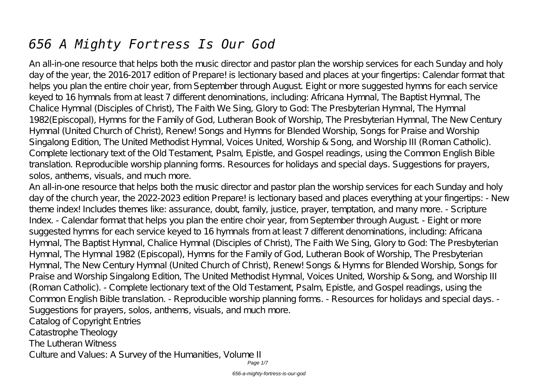# *656 A Mighty Fortress Is Our God*

An all-in-one resource that helps both the music director and pastor plan the worship services for each Sunday and holy day of the year, the 2016-2017 edition of Prepare! is lectionary based and places at your fingertips: Calendar format that helps you plan the entire choir year, from September through August. Eight or more suggested hymns for each service keyed to 16 hymnals from at least 7 different denominations, including: Africana Hymnal, The Baptist Hymnal, The Chalice Hymnal (Disciples of Christ), The Faith We Sing, Glory to God: The Presbyterian Hymnal, The Hymnal 1982(Episcopal), Hymns for the Family of God, Lutheran Book of Worship, The Presbyterian Hymnal, The New Century Hymnal (United Church of Christ), Renew! Songs and Hymns for Blended Worship, Songs for Praise and Worship Singalong Edition, The United Methodist Hymnal, Voices United, Worship & Song, and Worship III (Roman Catholic). Complete lectionary text of the Old Testament, Psalm, Epistle, and Gospel readings, using the Common English Bible translation. Reproducible worship planning forms. Resources for holidays and special days. Suggestions for prayers, solos, anthems, visuals, and much more.

An all-in-one resource that helps both the music director and pastor plan the worship services for each Sunday and holy day of the church year, the 2022-2023 edition Prepare! is lectionary based and places everything at your fingertips: - New theme index! Includes themes like: assurance, doubt, family, justice, prayer, temptation, and many more. - Scripture Index. - Calendar format that helps you plan the entire choir year, from September through August. - Eight or more suggested hymns for each service keyed to 16 hymnals from at least 7 different denominations, including: Africana Hymnal, The Baptist Hymnal, Chalice Hymnal (Disciples of Christ), The Faith We Sing, Glory to God: The Presbyterian Hymnal, The Hymnal 1982 (Episcopal), Hymns for the Family of God, Lutheran Book of Worship, The Presbyterian Hymnal, The New Century Hymnal (United Church of Christ), Renew! Songs & Hymns for Blended Worship, Songs for Praise and Worship Singalong Edition, The United Methodist Hymnal, Voices United, Worship & Song, and Worship III (Roman Catholic). - Complete lectionary text of the Old Testament, Psalm, Epistle, and Gospel readings, using the Common English Bible translation. - Reproducible worship planning forms. - Resources for holidays and special days. - Suggestions for prayers, solos, anthems, visuals, and much more. Catalog of Copyright Entries

Catastrophe Theology

The Lutheran Witness

Culture and Values: A Survey of the Humanities, Volume II

Page 1/7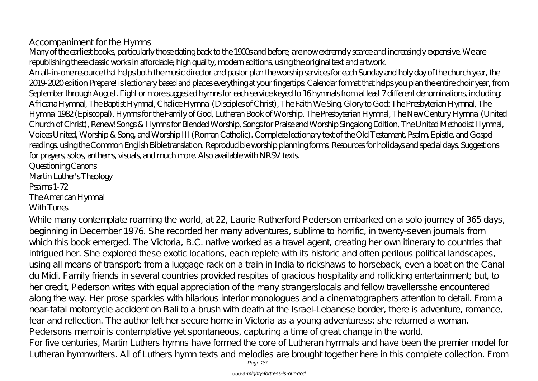# Accompaniment for the Hymns

Many of the earliest books, particularly those dating back to the 1900s and before, are now extremely scarce and increasingly expensive. We are republishing these classic works in affordable, high quality, modern editions, using the original text and artwork.

An all-in-one resource that helps both the music director and pastor plan the worship services for each Sunday and holy day of the church year, the 2019-2020 edition Prepare! is lectionary based and places everything at your fingertips: Calendar format that helps you plan the entire choir year, from September through August. Eight or more suggested hymns for each service keyed to 16 hymnals from at least 7 different denominations, including: Africana Hymnal, The Baptist Hymnal, Chalice Hymnal (Disciples of Christ), The Faith We Sing, Glory to God: The Presbyterian Hymnal, The Hymnal 1982 (Episcopal), Hymns for the Family of God, Lutheran Book of Worship, The Presbyterian Hymnal, The New Century Hymnal (United Church of Christ), Renew! Songs & Hymns for Blended Worship, Songs for Praise and Worship Singalong Edition, The United Methodist Hymnal, Voices United, Worship & Song, and Worship III (Roman Catholic). Complete lectionary text of the Old Testament, Psalm, Epistle, and Gospel readings, using the Common English Bible translation. Reproducible worship planning forms. Resources for holidays and special days. Suggestions for prayers, solos, anthems, visuals, and much more. Also available with NRSV texts.

Questioning Canons Martin Luther's Theology Psalms 1-72 The American Hymnal

# With Tunes

While many contemplate roaming the world, at 22, Laurie Rutherford Pederson embarked on a solo journey of 365 days, beginning in December 1976. She recorded her many adventures, sublime to horrific, in twenty-seven journals from which this book emerged. The Victoria, B.C. native worked as a travel agent, creating her own itinerary to countries that intrigued her. She explored these exotic locations, each replete with its historic and often perilous political landscapes, using all means of transport: from a luggage rack on a train in India to rickshaws to horseback, even a boat on the Canal du Midi. Family friends in several countries provided respites of gracious hospitality and rollicking entertainment; but, to her credit, Pederson writes with equal appreciation of the many strangerslocals and fellow travellersshe encountered along the way. Her prose sparkles with hilarious interior monologues and a cinematographers attention to detail. From a near-fatal motorcycle accident on Bali to a brush with death at the Israel-Lebanese border, there is adventure, romance, fear and reflection. The author left her secure home in Victoria as a young adventuress; she returned a woman. Pedersons memoir is contemplative yet spontaneous, capturing a time of great change in the world. For five centuries, Martin Luthers hymns have formed the core of Lutheran hymnals and have been the premier model for Lutheran hymnwriters. All of Luthers hymn texts and melodies are brought together here in this complete collection. From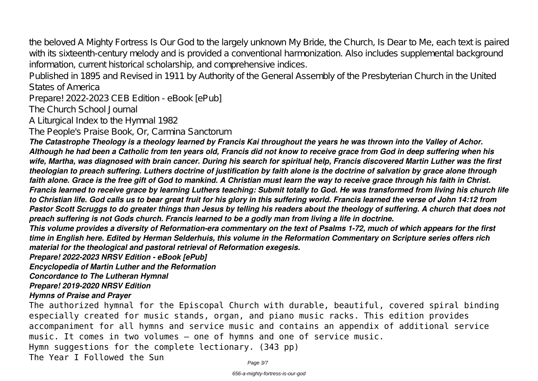the beloved A Mighty Fortress Is Our God to the largely unknown My Bride, the Church, Is Dear to Me, each text is paired with its sixteenth-century melody and is provided a conventional harmonization. Also includes supplemental background information, current historical scholarship, and comprehensive indices.

Published in 1895 and Revised in 1911 by Authority of the General Assembly of the Presbyterian Church in the United States of America

Prepare! 2022-2023 CEB Edition - eBook [ePub]

The Church School Journal

A Liturgical Index to the Hymnal 1982

The People's Praise Book, Or, Carmina Sanctorum

*The Catastrophe Theology is a theology learned by Francis Kai throughout the years he was thrown into the Valley of Achor. Although he had been a Catholic from ten years old, Francis did not know to receive grace from God in deep suffering when his wife, Martha, was diagnosed with brain cancer. During his search for spiritual help, Francis discovered Martin Luther was the first theologian to preach suffering. Luthers doctrine of justification by faith alone is the doctrine of salvation by grace alone through faith alone. Grace is the free gift of God to mankind. A Christian must learn the way to receive grace through his faith in Christ. Francis learned to receive grace by learning Luthers teaching: Submit totally to God. He was transformed from living his church life to Christian life. God calls us to bear great fruit for his glory in this suffering world. Francis learned the verse of John 14:12 from Pastor Scott Scruggs to do greater things than Jesus by telling his readers about the theology of suffering. A church that does not preach suffering is not Gods church. Francis learned to be a godly man from living a life in doctrine.*

*This volume provides a diversity of Reformation-era commentary on the text of Psalms 1-72, much of which appears for the first time in English here. Edited by Herman Selderhuis, this volume in the Reformation Commentary on Scripture series offers rich material for the theological and pastoral retrieval of Reformation exegesis.*

*Prepare! 2022-2023 NRSV Edition - eBook [ePub]*

*Encyclopedia of Martin Luther and the Reformation*

*Concordance to The Lutheran Hymnal*

*Prepare! 2019-2020 NRSV Edition*

*Hymns of Praise and Prayer*

The authorized hymnal for the Episcopal Church with durable, beautiful, covered spiral binding especially created for music stands, organ, and piano music racks. This edition provides accompaniment for all hymns and service music and contains an appendix of additional service music. It comes in two volumes — one of hymns and one of service music. Hymn suggestions for the complete lectionary. (343 pp) The Year I Followed the Sun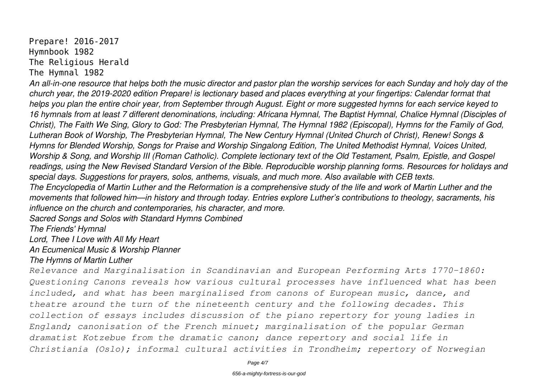Prepare! 2016-2017 Hymnbook 1982 The Religious Herald The Hymnal 1982

*An all-in-one resource that helps both the music director and pastor plan the worship services for each Sunday and holy day of the church year, the 2019-2020 edition Prepare! is lectionary based and places everything at your fingertips: Calendar format that helps you plan the entire choir year, from September through August. Eight or more suggested hymns for each service keyed to 16 hymnals from at least 7 different denominations, including: Africana Hymnal, The Baptist Hymnal, Chalice Hymnal (Disciples of Christ), The Faith We Sing, Glory to God: The Presbyterian Hymnal, The Hymnal 1982 (Episcopal), Hymns for the Family of God, Lutheran Book of Worship, The Presbyterian Hymnal, The New Century Hymnal (United Church of Christ), Renew! Songs & Hymns for Blended Worship, Songs for Praise and Worship Singalong Edition, The United Methodist Hymnal, Voices United, Worship & Song, and Worship III (Roman Catholic). Complete lectionary text of the Old Testament, Psalm, Epistle, and Gospel readings, using the New Revised Standard Version of the Bible. Reproducible worship planning forms. Resources for holidays and special days. Suggestions for prayers, solos, anthems, visuals, and much more. Also available with CEB texts. The Encyclopedia of Martin Luther and the Reformation is a comprehensive study of the life and work of Martin Luther and the movements that followed him—in history and through today. Entries explore Luther's contributions to theology, sacraments, his influence on the church and contemporaries, his character, and more.*

*Sacred Songs and Solos with Standard Hymns Combined*

*The Friends' Hymnal*

*Lord, Thee I Love with All My Heart*

*An Ecumenical Music & Worship Planner*

### *The Hymns of Martin Luther*

*Relevance and Marginalisation in Scandinavian and European Performing Arts 1770–1860: Questioning Canons reveals how various cultural processes have influenced what has been included, and what has been marginalised from canons of European music, dance, and theatre around the turn of the nineteenth century and the following decades. This collection of essays includes discussion of the piano repertory for young ladies in England; canonisation of the French minuet; marginalisation of the popular German dramatist Kotzebue from the dramatic canon; dance repertory and social life in Christiania (Oslo); informal cultural activities in Trondheim; repertory of Norwegian*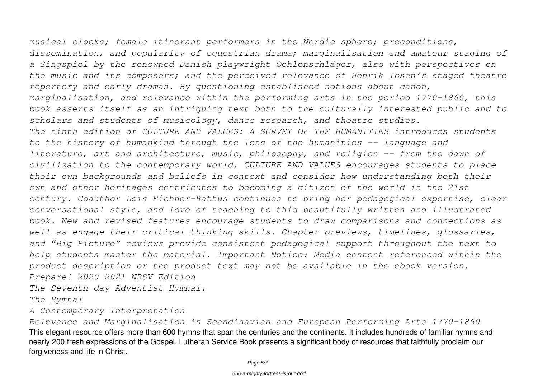*musical clocks; female itinerant performers in the Nordic sphere; preconditions, dissemination, and popularity of equestrian drama; marginalisation and amateur staging of a Singspiel by the renowned Danish playwright Oehlenschläger, also with perspectives on the music and its composers; and the perceived relevance of Henrik Ibsen's staged theatre repertory and early dramas. By questioning established notions about canon, marginalisation, and relevance within the performing arts in the period 1770–1860, this book asserts itself as an intriguing text both to the culturally interested public and to scholars and students of musicology, dance research, and theatre studies. The ninth edition of CULTURE AND VALUES: A SURVEY OF THE HUMANITIES introduces students to the history of humankind through the lens of the humanities -- language and literature, art and architecture, music, philosophy, and religion -- from the dawn of civilization to the contemporary world. CULTURE AND VALUES encourages students to place their own backgrounds and beliefs in context and consider how understanding both their own and other heritages contributes to becoming a citizen of the world in the 21st century. Coauthor Lois Fichner-Rathus continues to bring her pedagogical expertise, clear conversational style, and love of teaching to this beautifully written and illustrated book. New and revised features encourage students to draw comparisons and connections as well as engage their critical thinking skills. Chapter previews, timelines, glossaries, and "Big Picture" reviews provide consistent pedagogical support throughout the text to help students master the material. Important Notice: Media content referenced within the product description or the product text may not be available in the ebook version. Prepare! 2020-2021 NRSV Edition*

*The Seventh-day Adventist Hymnal.*

*The Hymnal*

*A Contemporary Interpretation*

*Relevance and Marginalisation in Scandinavian and European Performing Arts 1770–1860* This elegant resource offers more than 600 hymns that span the centuries and the continents. It includes hundreds of familiar hymns and nearly 200 fresh expressions of the Gospel. Lutheran Service Book presents a significant body of resources that faithfully proclaim our forgiveness and life in Christ.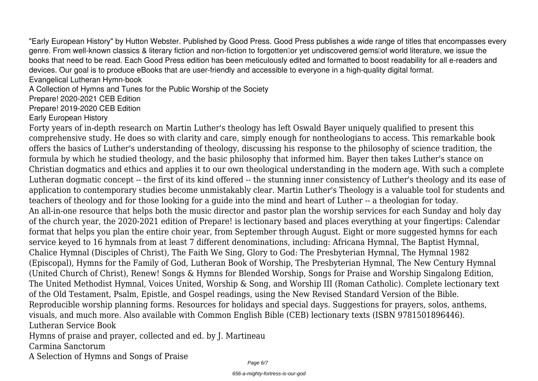"Early European History" by Hutton Webster. Published by Good Press. Good Press publishes a wide range of titles that encompasses every genre. From well-known classics & literary fiction and non-fiction to forgotten⊪or yet undiscovered gems⊪of world literature, we issue the books that need to be read. Each Good Press edition has been meticulously edited and formatted to boost readability for all e-readers and devices. Our goal is to produce eBooks that are user-friendly and accessible to everyone in a high-quality digital format.

Evangelical Lutheran Hymn-book

A Collection of Hymns and Tunes for the Public Worship of the Society

Prepare! 2020-2021 CEB Edition

Prepare! 2019-2020 CEB Edition

Early European History

Forty years of in-depth research on Martin Luther's theology has left Oswald Bayer uniquely qualified to present this comprehensive study. He does so with clarity and care, simply enough for nontheologians to access. This remarkable book offers the basics of Luther's understanding of theology, discussing his response to the philosophy of science tradition, the formula by which he studied theology, and the basic philosophy that informed him. Bayer then takes Luther's stance on Christian dogmatics and ethics and applies it to our own theological understanding in the modern age. With such a complete Lutheran dogmatic concept -- the first of its kind offered -- the stunning inner consistency of Luther's theology and its ease of application to contemporary studies become unmistakably clear. Martin Luther's Theology is a valuable tool for students and teachers of theology and for those looking for a guide into the mind and heart of Luther -- a theologian for today. An all-in-one resource that helps both the music director and pastor plan the worship services for each Sunday and holy day of the church year, the 2020-2021 edition of Prepare! is lectionary based and places everything at your fingertips: Calendar format that helps you plan the entire choir year, from September through August. Eight or more suggested hymns for each service keyed to 16 hymnals from at least 7 different denominations, including: Africana Hymnal, The Baptist Hymnal, Chalice Hymnal (Disciples of Christ), The Faith We Sing, Glory to God: The Presbyterian Hymnal, The Hymnal 1982 (Episcopal), Hymns for the Family of God, Lutheran Book of Worship, The Presbyterian Hymnal, The New Century Hymnal (United Church of Christ), Renew! Songs & Hymns for Blended Worship, Songs for Praise and Worship Singalong Edition, The United Methodist Hymnal, Voices United, Worship & Song, and Worship III (Roman Catholic). Complete lectionary text of the Old Testament, Psalm, Epistle, and Gospel readings, using the New Revised Standard Version of the Bible. Reproducible worship planning forms. Resources for holidays and special days. Suggestions for prayers, solos, anthems, visuals, and much more. Also available with Common English Bible (CEB) lectionary texts (ISBN 9781501896446). Lutheran Service Book Hymns of praise and prayer, collected and ed. by J. Martineau

Carmina Sanctorum

A Selection of Hymns and Songs of Praise

Page 6/7